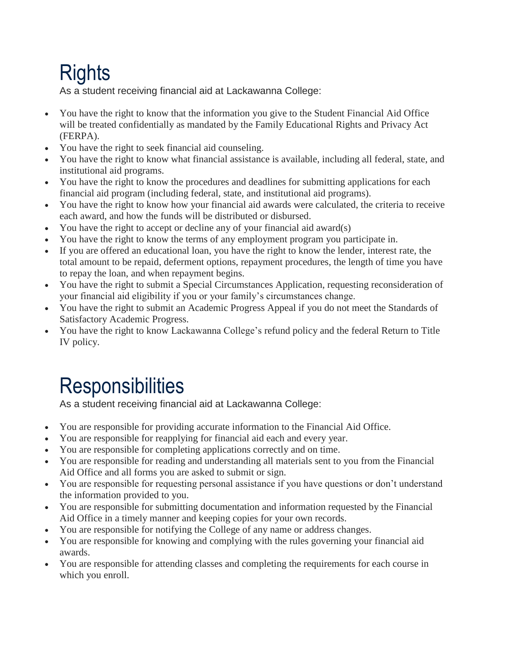## **Rights**

As a student receiving financial aid at Lackawanna College:

- You have the right to know that the information you give to the Student Financial Aid Office will be treated confidentially as mandated by the Family Educational Rights and Privacy Act (FERPA).
- You have the right to seek financial aid counseling.
- You have the right to know what financial assistance is available, including all federal, state, and institutional aid programs.
- You have the right to know the procedures and deadlines for submitting applications for each financial aid program (including federal, state, and institutional aid programs).
- You have the right to know how your financial aid awards were calculated, the criteria to receive each award, and how the funds will be distributed or disbursed.
- You have the right to accept or decline any of your financial aid award(s)
- You have the right to know the terms of any employment program you participate in.
- If you are offered an educational loan, you have the right to know the lender, interest rate, the total amount to be repaid, deferment options, repayment procedures, the length of time you have to repay the loan, and when repayment begins.
- You have the right to submit a Special Circumstances Application, requesting reconsideration of your financial aid eligibility if you or your family's circumstances change.
- You have the right to submit an Academic Progress Appeal if you do not meet the Standards of Satisfactory Academic Progress.
- You have the right to know Lackawanna College's refund policy and the federal Return to Title IV policy.

## **Responsibilities**

As a student receiving financial aid at Lackawanna College:

- You are responsible for providing accurate information to the Financial Aid Office.
- You are responsible for reapplying for financial aid each and every year.
- You are responsible for completing applications correctly and on time.
- You are responsible for reading and understanding all materials sent to you from the Financial Aid Office and all forms you are asked to submit or sign.
- You are responsible for requesting personal assistance if you have questions or don't understand the information provided to you.
- You are responsible for submitting documentation and information requested by the Financial Aid Office in a timely manner and keeping copies for your own records.
- You are responsible for notifying the College of any name or address changes.
- You are responsible for knowing and complying with the rules governing your financial aid awards.
- You are responsible for attending classes and completing the requirements for each course in which you enroll.